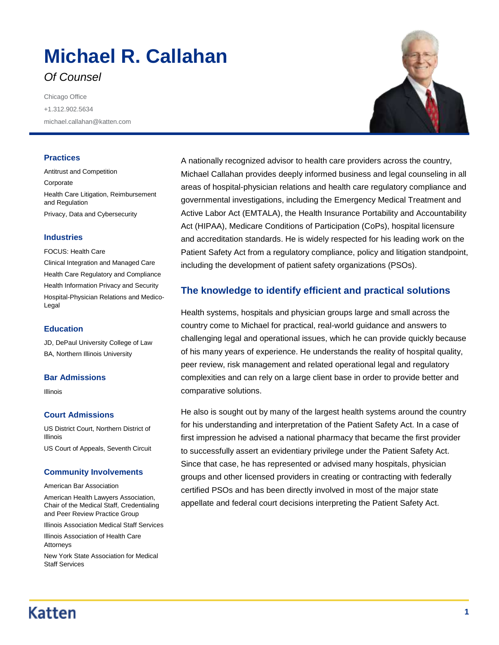# **Michael R. Callahan** *Of Counsel*

Chicago Office +1.312.902.5634 michael.callahan@katten.com

#### **Practices**

Antitrust and Competition Corporate Health Care Litigation, Reimbursement and Regulation Privacy, Data and Cybersecurity

#### **Industries**

FOCUS: Health Care Clinical Integration and Managed Care Health Care Regulatory and Compliance Health Information Privacy and Security Hospital-Physician Relations and Medico-Legal

### **Education**

JD, DePaul University College of Law BA, Northern Illinois University

#### **Bar Admissions**

Illinois

### **Court Admissions**

US District Court, Northern District of Illinois

US Court of Appeals, Seventh Circuit

#### **Community Involvements**

American Bar Association

American Health Lawyers Association, Chair of the Medical Staff, Credentialing and Peer Review Practice Group

Illinois Association Medical Staff Services

Illinois Association of Health Care Attorneys

New York State Association for Medical Staff Services

A nationally recognized advisor to health care providers across the country, Michael Callahan provides deeply informed business and legal counseling in all areas of hospital-physician relations and health care regulatory compliance and governmental investigations, including the Emergency Medical Treatment and Active Labor Act (EMTALA), the Health Insurance Portability and Accountability Act (HIPAA), Medicare Conditions of Participation (CoPs), hospital licensure and accreditation standards. He is widely respected for his leading work on the Patient Safety Act from a regulatory compliance, policy and litigation standpoint, including the development of patient safety organizations (PSOs).

### **The knowledge to identify efficient and practical solutions**

Health systems, hospitals and physician groups large and small across the country come to Michael for practical, real-world guidance and answers to challenging legal and operational issues, which he can provide quickly because of his many years of experience. He understands the reality of hospital quality, peer review, risk management and related operational legal and regulatory complexities and can rely on a large client base in order to provide better and comparative solutions.

He also is sought out by many of the largest health systems around the country for his understanding and interpretation of the Patient Safety Act. In a case of first impression he advised a national pharmacy that became the first provider to successfully assert an evidentiary privilege under the Patient Safety Act. Since that case, he has represented or advised many hospitals, physician groups and other licensed providers in creating or contracting with federally certified PSOs and has been directly involved in most of the major state appellate and federal court decisions interpreting the Patient Safety Act.

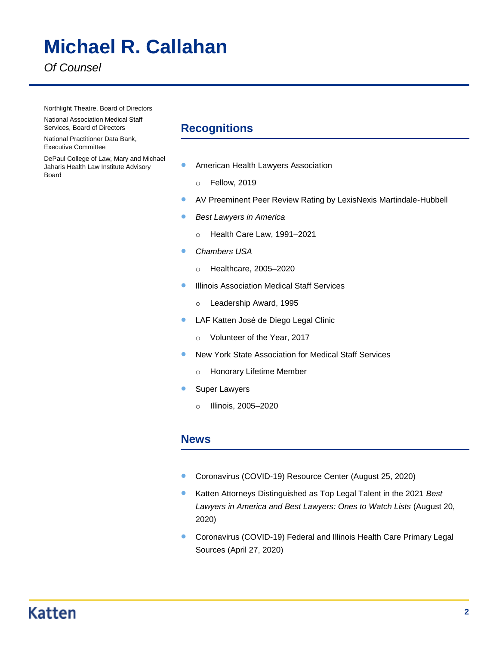# **Michael R. Callahan**

*Of Counsel*

Northlight Theatre, Board of Directors

National Association Medical Staff Services, Board of Directors

National Practitioner Data Bank, Executive Committee

DePaul College of Law, Mary and Michael Jaharis Health Law Institute Advisory Board

### **Recognitions**

- **American Health Lawyers Association** 
	- o Fellow, 2019
- AV Preeminent Peer Review Rating by LexisNexis Martindale-Hubbell
- **Best Lawyers in America** 
	- o Health Care Law, 1991–2021
- *Chambers USA*
	- o Healthcare, 2005–2020
- **Illinois Association Medical Staff Services** 
	- o Leadership Award, 1995
- **CE LAF Katten José de Diego Legal Clinic** 
	- o Volunteer of the Year, 2017
- New York State Association for Medical Staff Services
	- o Honorary Lifetime Member
- **Super Lawyers** 
	- o Illinois, 2005–2020

### **News**

- Coronavirus (COVID-19) Resource Center (August 25, 2020)
- Katten Attorneys Distinguished as Top Legal Talent in the 2021 *Best Lawyers in America and Best Lawyers: Ones to Watch Lists* (August 20, 2020)
- **Coronavirus (COVID-19) Federal and Illinois Health Care Primary Legal** Sources (April 27, 2020)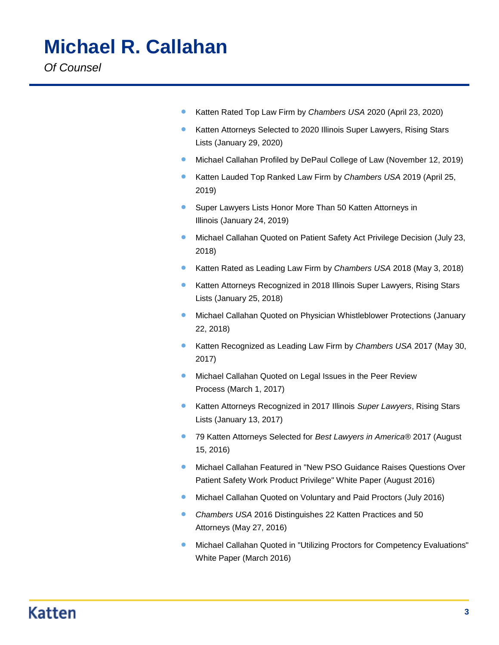Katten Rated Top Law Firm by *Chambers USA* 2020 (April 23, 2020)

- Katten Attorneys Selected to 2020 Illinois Super Lawyers, Rising Stars Lists (January 29, 2020)
- **•** Michael Callahan Profiled by DePaul College of Law (November 12, 2019)
- Katten Lauded Top Ranked Law Firm by *Chambers USA* 2019 (April 25, 2019)
- **Super Lawyers Lists Honor More Than 50 Katten Attorneys in** Illinois (January 24, 2019)
- **Michael Callahan Quoted on Patient Safety Act Privilege Decision (July 23,** 2018)
- Katten Rated as Leading Law Firm by *Chambers USA* 2018 (May 3, 2018)
- Katten Attorneys Recognized in 2018 Illinois Super Lawyers, Rising Stars Lists (January 25, 2018)
- **Michael Callahan Quoted on Physician Whistleblower Protections (January** 22, 2018)
- Katten Recognized as Leading Law Firm by *Chambers USA* 2017 (May 30, 2017)
- **Michael Callahan Quoted on Legal Issues in the Peer Review** Process (March 1, 2017)
- Katten Attorneys Recognized in 2017 Illinois *Super Lawyers*, Rising Stars Lists (January 13, 2017)
- 79 Katten Attorneys Selected for *Best Lawyers in America*® 2017 (August 15, 2016)
- **Michael Callahan Featured in "New PSO Guidance Raises Questions Over** Patient Safety Work Product Privilege" White Paper (August 2016)
- **Michael Callahan Quoted on Voluntary and Paid Proctors (July 2016)**
- *Chambers USA* 2016 Distinguishes 22 Katten Practices and 50 Attorneys (May 27, 2016)
- **Michael Callahan Quoted in "Utilizing Proctors for Competency Evaluations"** White Paper (March 2016)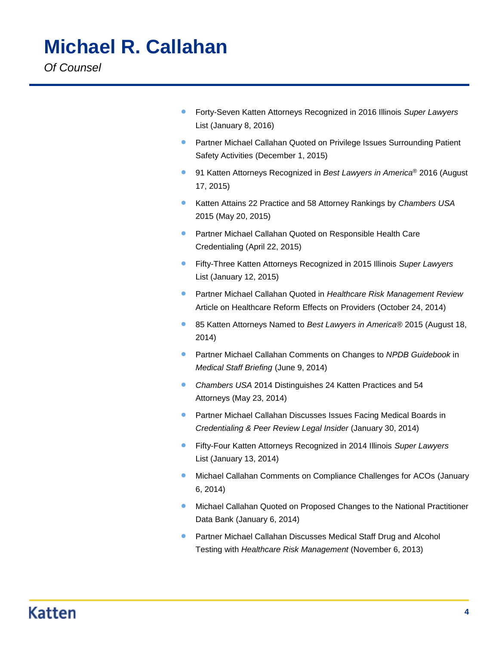Forty-Seven Katten Attorneys Recognized in 2016 Illinois *Super Lawyers* List (January 8, 2016)

- **Partner Michael Callahan Quoted on Privilege Issues Surrounding Patient** Safety Activities (December 1, 2015)
- 91 Katten Attorneys Recognized in *Best Lawyers in America*<sup>®</sup> 2016 (August 17, 2015)
- Katten Attains 22 Practice and 58 Attorney Rankings by *Chambers USA* 2015 (May 20, 2015)
- **Partner Michael Callahan Quoted on Responsible Health Care** Credentialing (April 22, 2015)
- Fifty-Three Katten Attorneys Recognized in 2015 Illinois *Super Lawyers* List (January 12, 2015)
- Partner Michael Callahan Quoted in *Healthcare Risk Management Review* Article on Healthcare Reform Effects on Providers (October 24, 2014)
- 85 Katten Attorneys Named to *Best Lawyers in America*® 2015 (August 18, 2014)
- Partner Michael Callahan Comments on Changes to *NPDB Guidebook* in *Medical Staff Briefing* (June 9, 2014)
- *Chambers USA* 2014 Distinguishes 24 Katten Practices and 54 Attorneys (May 23, 2014)
- **Partner Michael Callahan Discusses Issues Facing Medical Boards in** *Credentialing & Peer Review Legal Insider* (January 30, 2014)
- Fifty-Four Katten Attorneys Recognized in 2014 Illinois *Super Lawyers* List (January 13, 2014)
- **Michael Callahan Comments on Compliance Challenges for ACOs (January** 6, 2014)
- **Michael Callahan Quoted on Proposed Changes to the National Practitioner** Data Bank (January 6, 2014)
- **Partner Michael Callahan Discusses Medical Staff Drug and Alcohol** Testing with *Healthcare Risk Management* (November 6, 2013)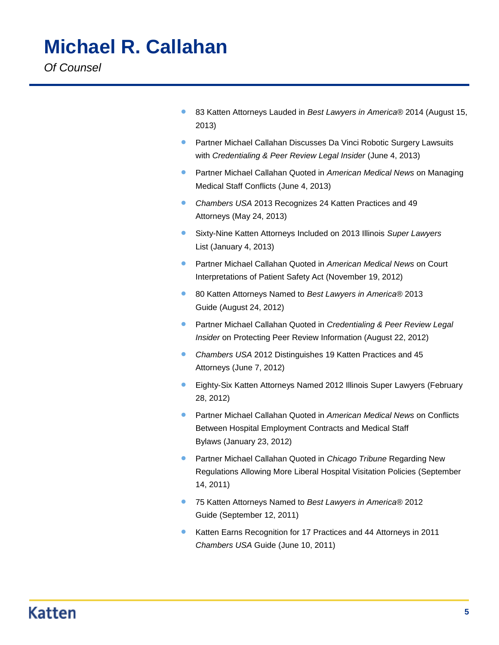- 83 Katten Attorneys Lauded in *Best Lawyers in America*® 2014 (August 15, 2013)
- **Partner Michael Callahan Discusses Da Vinci Robotic Surgery Lawsuits** with *Credentialing & Peer Review Legal Insider* (June 4, 2013)
- Partner Michael Callahan Quoted in *American Medical News* on Managing Medical Staff Conflicts (June 4, 2013)
- *Chambers USA* 2013 Recognizes 24 Katten Practices and 49 Attorneys (May 24, 2013)
- Sixty-Nine Katten Attorneys Included on 2013 Illinois *Super Lawyers* List (January 4, 2013)
- Partner Michael Callahan Quoted in *American Medical News* on Court Interpretations of Patient Safety Act (November 19, 2012)
- 80 Katten Attorneys Named to *Best Lawyers in America*® 2013 Guide (August 24, 2012)
- Partner Michael Callahan Quoted in *Credentialing & Peer Review Legal Insider* on Protecting Peer Review Information (August 22, 2012)
- *Chambers USA* 2012 Distinguishes 19 Katten Practices and 45 Attorneys (June 7, 2012)
- Eighty-Six Katten Attorneys Named 2012 Illinois Super Lawyers (February 28, 2012)
- Partner Michael Callahan Quoted in *American Medical News* on Conflicts Between Hospital Employment Contracts and Medical Staff Bylaws (January 23, 2012)
- Partner Michael Callahan Quoted in *Chicago Tribune* Regarding New Regulations Allowing More Liberal Hospital Visitation Policies (September 14, 2011)
- 75 Katten Attorneys Named to *Best Lawyers in America®* 2012 Guide (September 12, 2011)
- **Katten Earns Recognition for 17 Practices and 44 Attorneys in 2011** *Chambers USA* Guide (June 10, 2011)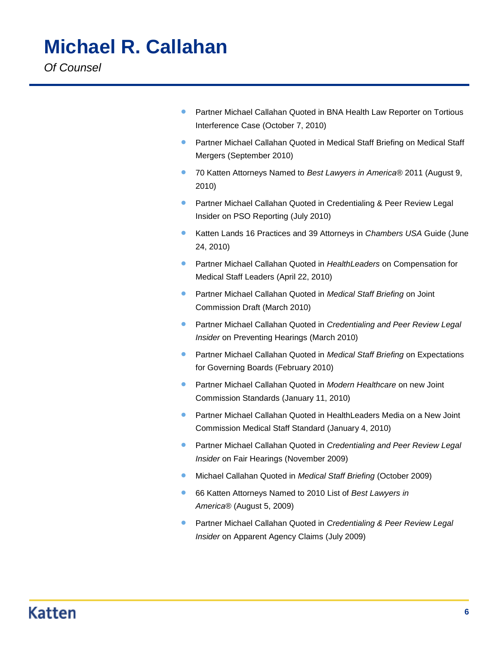**• Partner Michael Callahan Quoted in BNA Health Law Reporter on Tortious** Interference Case (October 7, 2010)

- Partner Michael Callahan Quoted in Medical Staff Briefing on Medical Staff Mergers (September 2010)
- 70 Katten Attorneys Named to *Best Lawyers in America®* 2011 (August 9, 2010)
- **Partner Michael Callahan Quoted in Credentialing & Peer Review Legal** Insider on PSO Reporting (July 2010)
- **Katten Lands 16 Practices and 39 Attorneys in** *Chambers USA* **Guide (June** 24, 2010)
- Partner Michael Callahan Quoted in *HealthLeaders* on Compensation for Medical Staff Leaders (April 22, 2010)
- **Partner Michael Callahan Quoted in** *Medical Staff Briefing* **on Joint** Commission Draft (March 2010)
- Partner Michael Callahan Quoted in *Credentialing and Peer Review Legal Insider* on Preventing Hearings (March 2010)
- Partner Michael Callahan Quoted in *Medical Staff Briefing* on Expectations for Governing Boards (February 2010)
- Partner Michael Callahan Quoted in *Modern Healthcare* on new Joint Commission Standards (January 11, 2010)
- **Partner Michael Callahan Quoted in HealthLeaders Media on a New Joint** Commission Medical Staff Standard (January 4, 2010)
- Partner Michael Callahan Quoted in *Credentialing and Peer Review Legal Insider* on Fair Hearings (November 2009)
- Michael Callahan Quoted in *Medical Staff Briefing* (October 2009)
- 66 Katten Attorneys Named to 2010 List of *Best Lawyers in America®* (August 5, 2009)
- Partner Michael Callahan Quoted in *Credentialing & Peer Review Legal Insider* on Apparent Agency Claims (July 2009)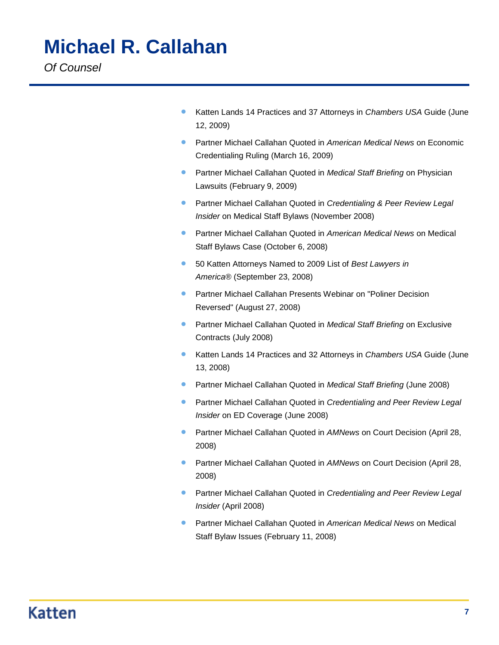- **Katten Lands 14 Practices and 37 Attorneys in** *Chambers USA* **Guide (June**) 12, 2009)
- Partner Michael Callahan Quoted in *American Medical News* on Economic Credentialing Ruling (March 16, 2009)
- Partner Michael Callahan Quoted in *Medical Staff Briefing* on Physician Lawsuits (February 9, 2009)
- Partner Michael Callahan Quoted in *Credentialing & Peer Review Legal Insider* on Medical Staff Bylaws (November 2008)
- Partner Michael Callahan Quoted in *American Medical News* on Medical Staff Bylaws Case (October 6, 2008)
- 50 Katten Attorneys Named to 2009 List of *Best Lawyers in America®* (September 23, 2008)
- **Partner Michael Callahan Presents Webinar on "Poliner Decision** Reversed" (August 27, 2008)
- **Partner Michael Callahan Quoted in** *Medical Staff Briefing* **on Exclusive** Contracts (July 2008)
- **Katten Lands 14 Practices and 32 Attorneys in** *Chambers USA* **Guide (June**) 13, 2008)
- Partner Michael Callahan Quoted in *Medical Staff Briefing* (June 2008)
- Partner Michael Callahan Quoted in *Credentialing and Peer Review Legal Insider* on ED Coverage (June 2008)
- **Partner Michael Callahan Quoted in AMNews on Court Decision (April 28,** 2008)
- **Partner Michael Callahan Quoted in AMNews on Court Decision (April 28,** 2008)
- Partner Michael Callahan Quoted in *Credentialing and Peer Review Legal Insider* (April 2008)
- Partner Michael Callahan Quoted in *American Medical News* on Medical Staff Bylaw Issues (February 11, 2008)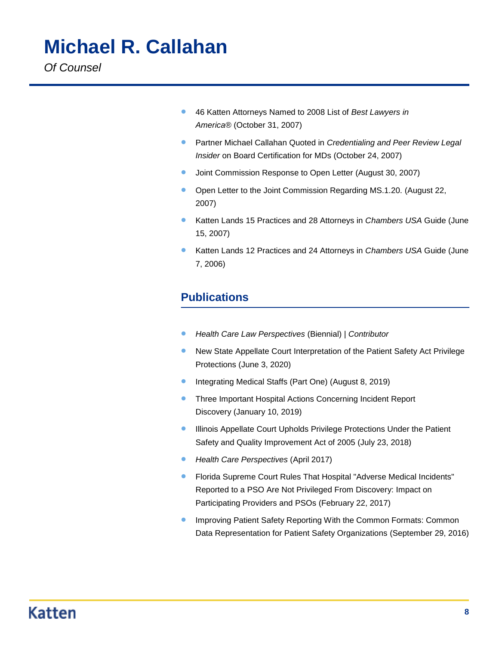- 46 Katten Attorneys Named to 2008 List of *Best Lawyers in America®* (October 31, 2007)
- Partner Michael Callahan Quoted in *Credentialing and Peer Review Legal Insider* on Board Certification for MDs (October 24, 2007)
- **•** [Joint Commission Response to Open Letter](https://katten.com/files/20210_Joint_Commission_Response_to_Open_Letter.pdf) (August 30, 2007)
- [Open Letter to the Joint Commission Regarding MS.1.20.](https://katten.com/files/21097_Open_Letter_to_the_Joint_Commission_Regarding_MS120.pdf) (August 22, 2007)
- **Katten Lands 15 Practices and 28 Attorneys in** *Chambers USA* **Guide (June** 15, 2007)
- Katten Lands 12 Practices and 24 Attorneys in *Chambers USA* Guide (June 7, 2006)

### **Publications**

- *[Health Care Law Perspectives](https://katten.com/health-care-law-perspectives-1)* (Biennial) | *Contributor*
- New State Appellate Court Interpretation of the Patient Safety Act Privilege Protections (June 3, 2020)
- **•** Integrating Medical Staffs (Part One) (August 8, 2019)
- **Three Important Hospital Actions Concerning Incident Report** Discovery (January 10, 2019)
- **Illinois Appellate Court Upholds Privilege Protections Under the Patient** Safety and Quality Improvement Act of 2005 (July 23, 2018)
- *Health Care Perspectives* (April 2017)
- Florida Supreme Court Rules That Hospital "Adverse Medical Incidents" Reported to a PSO Are Not Privileged From Discovery: Impact on Participating Providers and PSOs (February 22, 2017)
- Improving Patient Safety Reporting With the Common Formats: Common Data Representation for Patient Safety Organizations (September 29, 2016)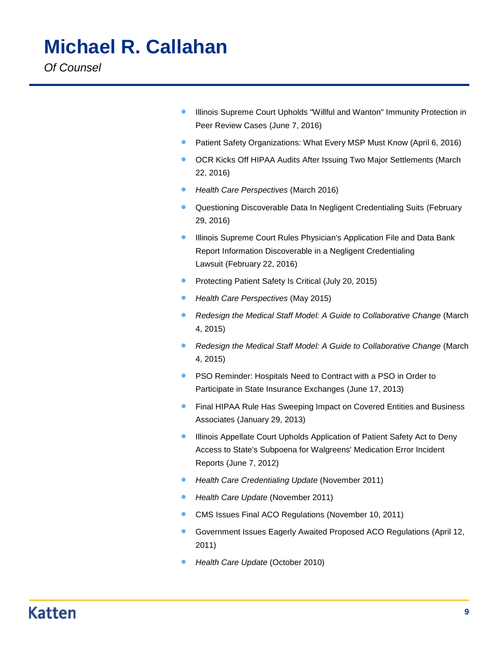**•** Illinois Supreme Court Upholds "Willful and Wanton" Immunity Protection in Peer Review Cases (June 7, 2016)

- **•** Patient Safety Organizations: What Every MSP Must Know (April 6, 2016)
- **OCR Kicks Off HIPAA Audits After Issuing Two Major Settlements (March** 22, 2016)
- *Health Care Perspectives* (March 2016)
- **Questioning Discoverable Data In Negligent Credentialing Suits (February** 29, 2016)
- **Illinois Supreme Court Rules Physician's Application File and Data Bank** Report Information Discoverable in a Negligent Credentialing Lawsuit (February 22, 2016)
- **•** Protecting Patient Safety Is Critical (July 20, 2015)
- *Health Care Perspectives* (May 2015)
- *Redesign the Medical Staff Model: A Guide to Collaborative Change* (March 4, 2015)
- *Redesign the Medical Staff Model: A Guide to Collaborative Change* (March 4, 2015)
- **PSO Reminder: Hospitals Need to Contract with a PSO in Order to** Participate in State Insurance Exchanges (June 17, 2013)
- **Final HIPAA Rule Has Sweeping Impact on Covered Entities and Business** Associates (January 29, 2013)
- **Illinois Appellate Court Upholds Application of Patient Safety Act to Deny** Access to State's Subpoena for Walgreens' Medication Error Incident Reports (June 7, 2012)
- *Health Care Credentialing Update* (November 2011)
- *Health Care Update* (November 2011)
- CMS Issues Final ACO Regulations (November 10, 2011)
- Government Issues Eagerly Awaited Proposed ACO Regulations (April 12, 2011)
- *Health Care Update* (October 2010)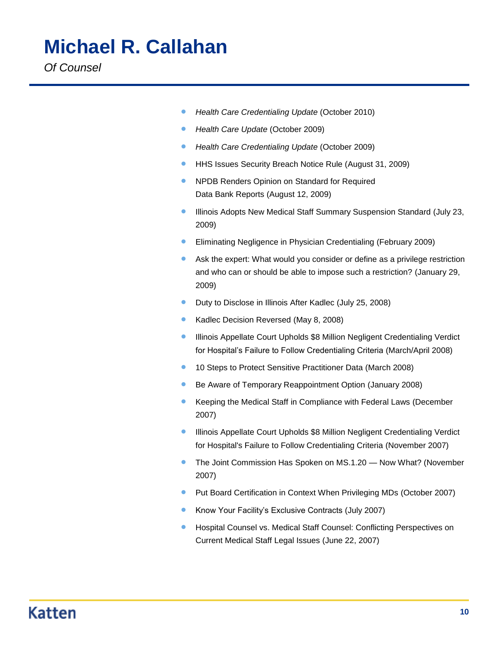- *Health Care Credentialing Update* (October 2010)
- *Health Care Update* (October 2009)
- *Health Care Credentialing Update* (October 2009)
- **HHS Issues Security Breach Notice Rule (August 31, 2009)**
- **NPDB Renders Opinion on Standard for Required** Data Bank Reports (August 12, 2009)
- Illinois Adopts New Medical Staff Summary Suspension Standard (July 23, 2009)
- Eliminating Negligence in Physician Credentialing (February 2009)
- Ask the expert: What would you consider or define as a privilege restriction and who can or should be able to impose such a restriction? (January 29, 2009)
- **•** Duty to Disclose in Illinois After Kadlec (July 25, 2008)
- Kadlec Decision Reversed (May 8, 2008)
- **Illinois Appellate Court Upholds \$8 Million Negligent Credentialing Verdict** for Hospital's Failure to Follow Credentialing Criteria (March/April 2008)
- <sup>o</sup> 10 Steps to Protect Sensitive Practitioner Data (March 2008)
- **Be Aware of Temporary Reappointment Option (January 2008)**
- Keeping the Medical Staff in Compliance with Federal Laws (December 2007)
- **Illinois Appellate Court Upholds \$8 Million Negligent Credentialing Verdict** for Hospital's Failure to Follow Credentialing Criteria (November 2007)
- The Joint Commission Has Spoken on MS.1.20 Now What? (November 2007)
- **Put Board Certification in Context When Privileging MDs (October 2007)**
- **Know Your Facility's Exclusive Contracts (July 2007)**
- Hospital Counsel vs. Medical Staff Counsel: Conflicting Perspectives on Current Medical Staff Legal Issues (June 22, 2007)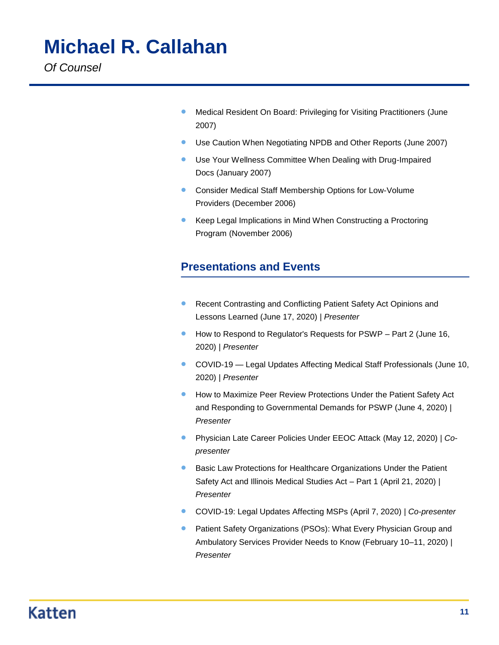**• Medical Resident On Board: Privileging for Visiting Practitioners (June** 2007)

- Use Caution When Negotiating NPDB and Other Reports (June 2007)
- Use Your Wellness Committee When Dealing with Drug-Impaired Docs (January 2007)
- Consider Medical Staff Membership Options for Low-Volume Providers (December 2006)
- Keep Legal Implications in Mind When Constructing a Proctoring Program (November 2006)

### **Presentations and Events**

- **Recent Contrasting and Conflicting Patient Safety Act Opinions and** Lessons Learned (June 17, 2020) | *Presenter*
- How to Respond to Regulator's Requests for PSWP Part 2 (June 16, 2020) | *Presenter*
- COVID-19 Legal Updates Affecting Medical Staff Professionals (June 10, 2020) | *Presenter*
- **How to Maximize Peer Review Protections Under the Patient Safety Act** and Responding to Governmental Demands for PSWP (June 4, 2020) | *Presenter*
- Physician Late Career Policies Under EEOC Attack (May 12, 2020) | *Copresenter*
- **Basic Law Protections for Healthcare Organizations Under the Patient** Safety Act and Illinois Medical Studies Act – Part 1 (April 21, 2020) | *Presenter*
- COVID-19: Legal Updates Affecting MSPs (April 7, 2020) | *Co-presenter*
- Patient Safety Organizations (PSOs): What Every Physician Group and Ambulatory Services Provider Needs to Know (February 10–11, 2020) | *Presenter*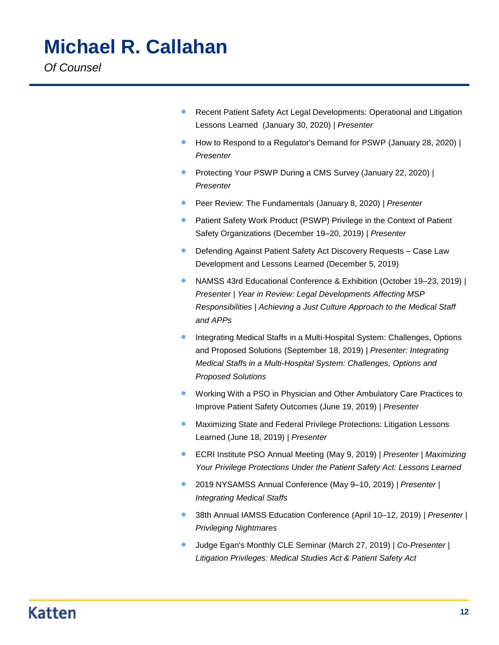- **Recent Patient Safety Act Legal Developments: Operational and Litigation** Lessons Learned (January 30, 2020) | *Presenter*
- How to Respond to a Regulator's Demand for PSWP (January 28, 2020) | *Presenter*
- Protecting Your PSWP During a CMS Survey (January 22, 2020) | *Presenter*
- Peer Review: The Fundamentals (January 8, 2020) | *Presenter*
- **Patient Safety Work Product (PSWP) Privilege in the Context of Patient** Safety Organizations (December 19–20, 2019) | *Presenter*
- Defending Against Patient Safety Act Discovery Requests Case Law Development and Lessons Learned (December 5, 2019)
- NAMSS 43rd Educational Conference & Exhibition (October 19–23, 2019) | *Presenter | Year in Review: Legal Developments Affecting MSP Responsibilities | Achieving a Just Culture Approach to the Medical Staff and APPs*
- Integrating Medical Staffs in a Multi-Hospital System: Challenges, Options and Proposed Solutions (September 18, 2019) | *Presenter: Integrating Medical Staffs in a Multi-Hospital System: Challenges, Options and Proposed Solutions*
- **Working With a PSO in Physician and Other Ambulatory Care Practices to** Improve Patient Safety Outcomes (June 19, 2019) | *Presenter*
- Maximizing State and Federal Privilege Protections: Litigation Lessons Learned (June 18, 2019) | *Presenter*
- ECRI Institute PSO Annual Meeting (May 9, 2019) | *Presenter | Maximizing Your Privilege Protections Under the Patient Safety Act: Lessons Learned*
- 2019 NYSAMSS Annual Conference (May 9–10, 2019) | *Presenter | Integrating Medical Staffs*
- 38th Annual IAMSS Education Conference (April 10–12, 2019) | *Presenter | Privileging Nightmares*
- Judge Egan's Monthly CLE Seminar (March 27, 2019) | *Co-Presenter | Litigation Privileges: Medical Studies Act & Patient Safety Act*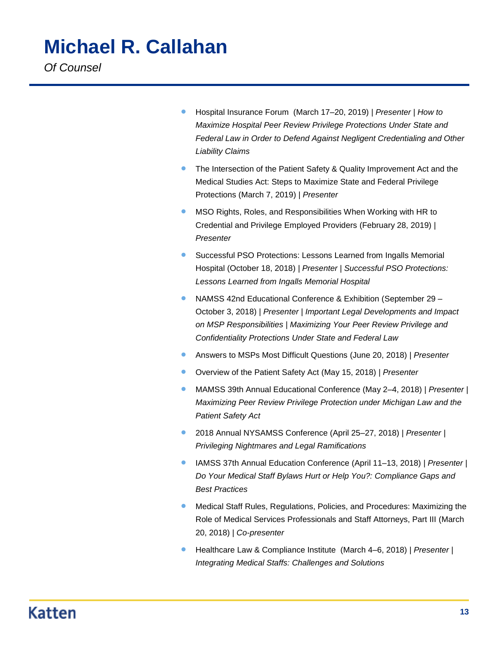- Hospital Insurance Forum (March 17–20, 2019) | *Presenter | How to Maximize Hospital Peer Review Privilege Protections Under State and Federal Law in Order to Defend Against Negligent Credentialing and Other Liability Claims*
- The Intersection of the Patient Safety & Quality Improvement Act and the Medical Studies Act: Steps to Maximize State and Federal Privilege Protections (March 7, 2019) | *Presenter*
- MSO Rights, Roles, and Responsibilities When Working with HR to Credential and Privilege Employed Providers (February 28, 2019) | *Presenter*
- Successful PSO Protections: Lessons Learned from Ingalls Memorial Hospital (October 18, 2018) | *Presenter | Successful PSO Protections: Lessons Learned from Ingalls Memorial Hospital*
- NAMSS 42nd Educational Conference & Exhibition (September 29 October 3, 2018) | *Presenter | Important Legal Developments and Impact on MSP Responsibilities | Maximizing Your Peer Review Privilege and Confidentiality Protections Under State and Federal Law*
- Answers to MSPs Most Difficult Questions (June 20, 2018) | *Presenter*
- Overview of the Patient Safety Act (May 15, 2018) | *Presenter*
- MAMSS 39th Annual Educational Conference (May 2–4, 2018) | *Presenter | Maximizing Peer Review Privilege Protection under Michigan Law and the Patient Safety Act*
- 2018 Annual NYSAMSS Conference (April 25–27, 2018) | *Presenter | Privileging Nightmares and Legal Ramifications*
- IAMSS 37th Annual Education Conference (April 11–13, 2018) | *Presenter | Do Your Medical Staff Bylaws Hurt or Help You?: Compliance Gaps and Best Practices*
- Medical Staff Rules, Regulations, Policies, and Procedures: Maximizing the Role of Medical Services Professionals and Staff Attorneys, Part III (March 20, 2018) | *Co-presenter*
- Healthcare Law & Compliance Institute (March 4–6, 2018) | *Presenter | Integrating Medical Staffs: Challenges and Solutions*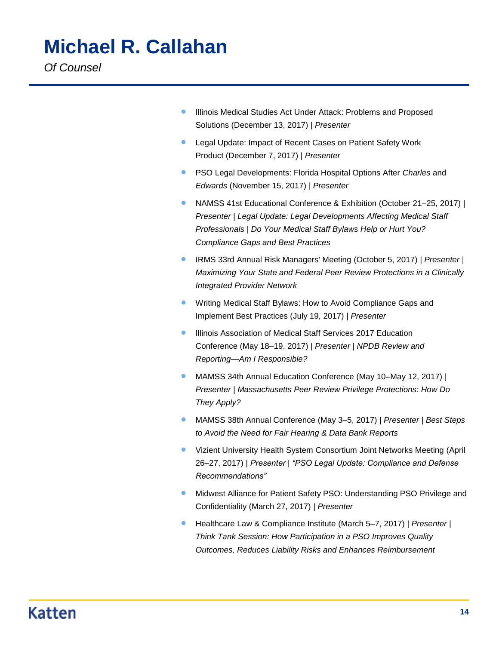- **Illinois Medical Studies Act Under Attack: Problems and Proposed** Solutions (December 13, 2017) | *Presenter*
- **Legal Update: Impact of Recent Cases on Patient Safety Work** Product (December 7, 2017) | *Presenter*
- **PSO Legal Developments: Florida Hospital Options After Charles and** *Edwards* (November 15, 2017) | *Presenter*
- NAMSS 41st Educational Conference & Exhibition (October 21–25, 2017) | *Presenter | Legal Update: Legal Developments Affecting Medical Staff Professionals | Do Your Medical Staff Bylaws Help or Hurt You? Compliance Gaps and Best Practices*
- IRMS 33rd Annual Risk Managers' Meeting (October 5, 2017) | *Presenter | Maximizing Your State and Federal Peer Review Protections in a Clinically Integrated Provider Network*
- **Writing Medical Staff Bylaws: How to Avoid Compliance Gaps and** Implement Best Practices (July 19, 2017) | *Presenter*
- **Illinois Association of Medical Staff Services 2017 Education** Conference (May 18–19, 2017) | *Presenter | NPDB Review and Reporting—Am I Responsible?*
- MAMSS 34th Annual Education Conference (May 10–May 12, 2017) | *Presenter | Massachusetts Peer Review Privilege Protections: How Do They Apply?*
- MAMSS 38th Annual Conference (May 3–5, 2017) | *Presenter | Best Steps to Avoid the Need for Fair Hearing & Data Bank Reports*
- Vizient University Health System Consortium Joint Networks Meeting (April 26–27, 2017) | *Presenter | "PSO Legal Update: Compliance and Defense Recommendations"*
- **Midwest Alliance for Patient Safety PSO: Understanding PSO Privilege and** Confidentiality (March 27, 2017) | *Presenter*
- Healthcare Law & Compliance Institute (March 5–7, 2017) | *Presenter | Think Tank Session: How Participation in a PSO Improves Quality Outcomes, Reduces Liability Risks and Enhances Reimbursement*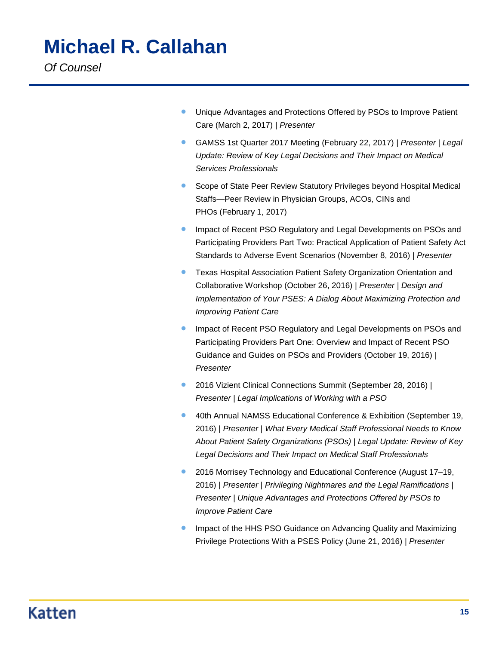- **Unique Advantages and Protections Offered by PSOs to Improve Patient** Care (March 2, 2017) | *Presenter*
- GAMSS 1st Quarter 2017 Meeting (February 22, 2017) | *Presenter | Legal Update: Review of Key Legal Decisions and Their Impact on Medical Services Professionals*
- Scope of State Peer Review Statutory Privileges beyond Hospital Medical Staffs—Peer Review in Physician Groups, ACOs, CINs and PHOs (February 1, 2017)
- Impact of Recent PSO Regulatory and Legal Developments on PSOs and Participating Providers Part Two: Practical Application of Patient Safety Act Standards to Adverse Event Scenarios (November 8, 2016) | *Presenter*
- Texas Hospital Association Patient Safety Organization Orientation and Collaborative Workshop (October 26, 2016) | *Presenter | Design and Implementation of Your PSES: A Dialog About Maximizing Protection and Improving Patient Care*
- Impact of Recent PSO Regulatory and Legal Developments on PSOs and Participating Providers Part One: Overview and Impact of Recent PSO Guidance and Guides on PSOs and Providers (October 19, 2016) | *Presenter*
- 2016 Vizient Clinical Connections Summit (September 28, 2016) | *Presenter | Legal Implications of Working with a PSO*
- **40th Annual NAMSS Educational Conference & Exhibition (September 19,** 2016) | *Presenter | What Every Medical Staff Professional Needs to Know About Patient Safety Organizations (PSOs) | Legal Update: Review of Key Legal Decisions and Their Impact on Medical Staff Professionals*
- 2016 Morrisey Technology and Educational Conference (August 17–19, 2016) | *Presenter | Privileging Nightmares and the Legal Ramifications | Presenter | Unique Advantages and Protections Offered by PSOs to Improve Patient Care*
- Impact of the HHS PSO Guidance on Advancing Quality and Maximizing Privilege Protections With a PSES Policy (June 21, 2016) | *Presenter*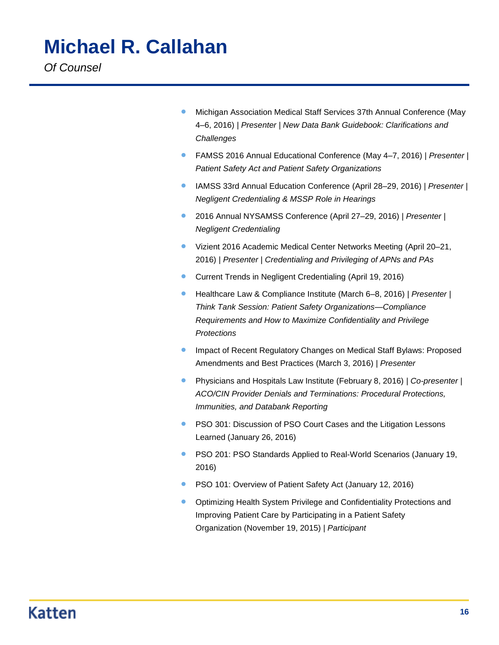- **Michigan Association Medical Staff Services 37th Annual Conference (May** 4–6, 2016) | *Presenter | New Data Bank Guidebook: Clarifications and Challenges*
- FAMSS 2016 Annual Educational Conference (May 4–7, 2016) | *Presenter | Patient Safety Act and Patient Safety Organizations*
- IAMSS 33rd Annual Education Conference (April 28–29, 2016) | *Presenter | Negligent Credentialing & MSSP Role in Hearings*
- 2016 Annual NYSAMSS Conference (April 27–29, 2016) | *Presenter | Negligent Credentialing*
- Vizient 2016 Academic Medical Center Networks Meeting (April 20–21, 2016) | *Presenter | Credentialing and Privileging of APNs and PAs*
- Current Trends in Negligent Credentialing (April 19, 2016)
- Healthcare Law & Compliance Institute (March 6–8, 2016) | *Presenter | Think Tank Session: Patient Safety Organizations—Compliance Requirements and How to Maximize Confidentiality and Privilege Protections*
- Impact of Recent Regulatory Changes on Medical Staff Bylaws: Proposed Amendments and Best Practices (March 3, 2016) | *Presenter*
- Physicians and Hospitals Law Institute (February 8, 2016) | *Co-presenter | ACO/CIN Provider Denials and Terminations: Procedural Protections, Immunities, and Databank Reporting*
- **PSO 301: Discussion of PSO Court Cases and the Litigation Lessons** Learned (January 26, 2016)
- **PSO 201: PSO Standards Applied to Real-World Scenarios (January 19,** 2016)
- **PSO 101: Overview of Patient Safety Act (January 12, 2016)**
- Optimizing Health System Privilege and Confidentiality Protections and Improving Patient Care by Participating in a Patient Safety Organization (November 19, 2015) | *Participant*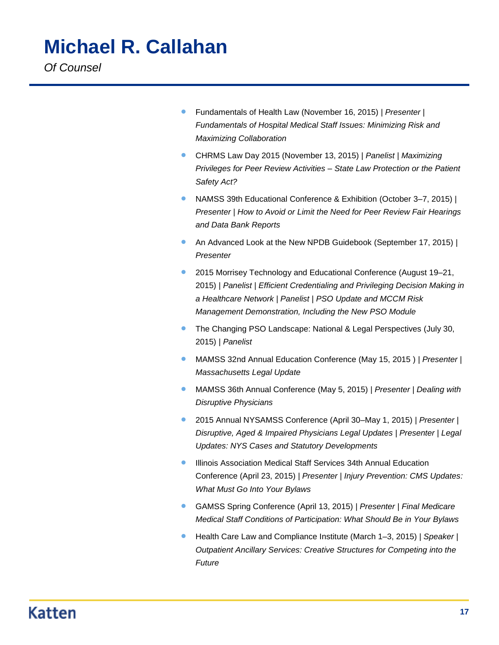- Fundamentals of Health Law (November 16, 2015) | *Presenter | Fundamentals of Hospital Medical Staff Issues: Minimizing Risk and Maximizing Collaboration*
- CHRMS Law Day 2015 (November 13, 2015) | *Panelist | Maximizing Privileges for Peer Review Activities – State Law Protection or the Patient Safety Act?*
- NAMSS 39th Educational Conference & Exhibition (October 3–7, 2015) | *Presenter | How to Avoid or Limit the Need for Peer Review Fair Hearings and Data Bank Reports*
- An Advanced Look at the New NPDB Guidebook (September 17, 2015) | *Presenter*
- 2015 Morrisey Technology and Educational Conference (August 19–21, 2015) | *Panelist | Efficient Credentialing and Privileging Decision Making in a Healthcare Network | Panelist | PSO Update and MCCM Risk Management Demonstration, Including the New PSO Module*
- **The Changing PSO Landscape: National & Legal Perspectives (July 30, 4)** 2015) | *Panelist*
- MAMSS 32nd Annual Education Conference (May 15, 2015 ) | *Presenter | Massachusetts Legal Update*
- MAMSS 36th Annual Conference (May 5, 2015) | *Presenter | Dealing with Disruptive Physicians*
- 2015 Annual NYSAMSS Conference (April 30–May 1, 2015) | *Presenter | Disruptive, Aged & Impaired Physicians Legal Updates | Presenter | Legal Updates: NYS Cases and Statutory Developments*
- Illinois Association Medical Staff Services 34th Annual Education Conference (April 23, 2015) | *Presenter | Injury Prevention: CMS Updates: What Must Go Into Your Bylaws*
- GAMSS Spring Conference (April 13, 2015) | *Presenter | Final Medicare Medical Staff Conditions of Participation: What Should Be in Your Bylaws*
- Health Care Law and Compliance Institute (March 1–3, 2015) | *Speaker | Outpatient Ancillary Services: Creative Structures for Competing into the Future*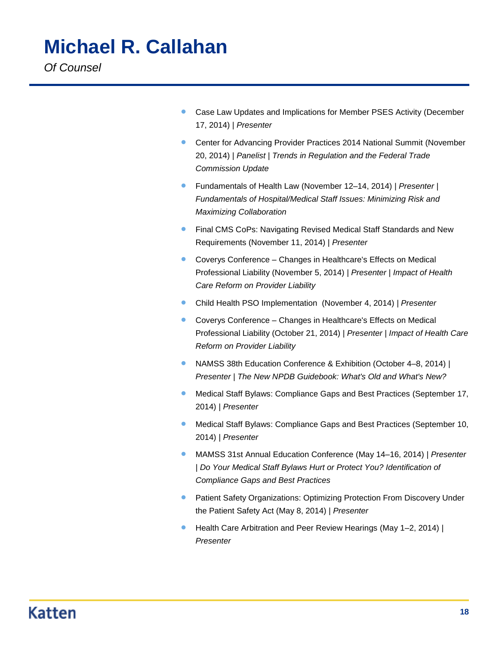**Case Law Updates and Implications for Member PSES Activity (December** 17, 2014) | *Presenter*

- Center for Advancing Provider Practices 2014 National Summit (November 20, 2014) | *Panelist | Trends in Regulation and the Federal Trade Commission Update*
- Fundamentals of Health Law (November 12–14, 2014) | *Presenter | Fundamentals of Hospital/Medical Staff Issues: Minimizing Risk and Maximizing Collaboration*
- **Final CMS CoPs: Navigating Revised Medical Staff Standards and New** Requirements (November 11, 2014) | *Presenter*
- Coverys Conference Changes in Healthcare's Effects on Medical Professional Liability (November 5, 2014) | *Presenter | Impact of Health Care Reform on Provider Liability*
- Child Health PSO Implementation (November 4, 2014) | *Presenter*
- Coverys Conference Changes in Healthcare's Effects on Medical Professional Liability (October 21, 2014) | *Presenter | Impact of Health Care Reform on Provider Liability*
- NAMSS 38th Education Conference & Exhibition (October 4–8, 2014) | *Presenter | The New NPDB Guidebook: What's Old and What's New?*
- Medical Staff Bylaws: Compliance Gaps and Best Practices (September 17, 2014) | *Presenter*
- Medical Staff Bylaws: Compliance Gaps and Best Practices (September 10, 2014) | *Presenter*
- MAMSS 31st Annual Education Conference (May 14–16, 2014) | *Presenter | Do Your Medical Staff Bylaws Hurt or Protect You? Identification of Compliance Gaps and Best Practices*
- **Patient Safety Organizations: Optimizing Protection From Discovery Under** the Patient Safety Act (May 8, 2014) | *Presenter*
- Health Care Arbitration and Peer Review Hearings (May 1–2, 2014) | *Presenter*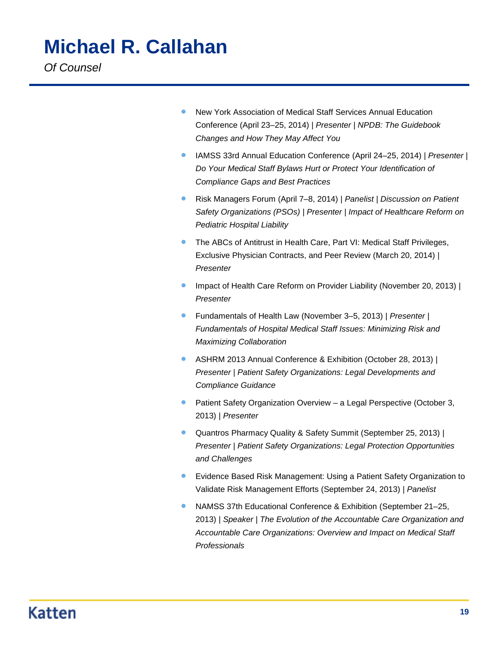- New York Association of Medical Staff Services Annual Education Conference (April 23–25, 2014) | *Presenter | NPDB: The Guidebook Changes and How They May Affect You*
- IAMSS 33rd Annual Education Conference (April 24–25, 2014) | *Presenter | Do Your Medical Staff Bylaws Hurt or Protect Your Identification of Compliance Gaps and Best Practices*
- Risk Managers Forum (April 7–8, 2014) | *Panelist | Discussion on Patient Safety Organizations (PSOs) | Presenter | Impact of Healthcare Reform on Pediatric Hospital Liability*
- **The ABCs of Antitrust in Health Care, Part VI: Medical Staff Privileges,** Exclusive Physician Contracts, and Peer Review (March 20, 2014) | *Presenter*
- Impact of Health Care Reform on Provider Liability (November 20, 2013) | *Presenter*
- Fundamentals of Health Law (November 3–5, 2013) | *Presenter | Fundamentals of Hospital Medical Staff Issues: Minimizing Risk and Maximizing Collaboration*
- ASHRM 2013 Annual Conference & Exhibition (October 28, 2013) | *Presenter | Patient Safety Organizations: Legal Developments and Compliance Guidance*
- **•** Patient Safety Organization Overview a Legal Perspective (October 3, 2013) | *Presenter*
- Quantros Pharmacy Quality & Safety Summit (September 25, 2013) | *Presenter | Patient Safety Organizations: Legal Protection Opportunities and Challenges*
- Evidence Based Risk Management: Using a Patient Safety Organization to Validate Risk Management Efforts (September 24, 2013) | *Panelist*
- NAMSS 37th Educational Conference & Exhibition (September 21–25, 2013) | *Speaker | The Evolution of the Accountable Care Organization and Accountable Care Organizations: Overview and Impact on Medical Staff Professionals*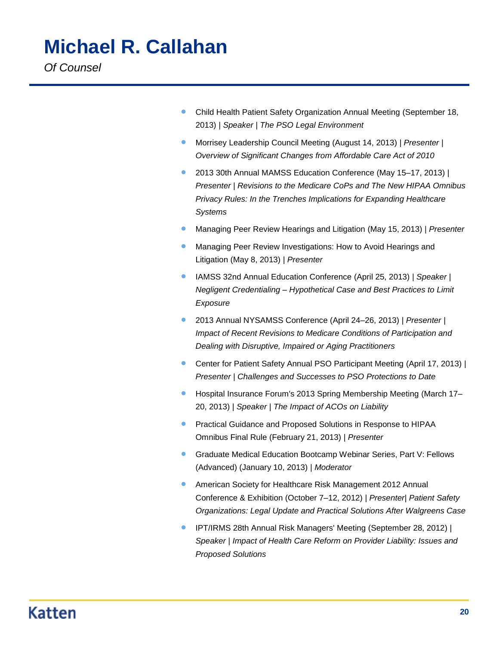Child Health Patient Safety Organization Annual Meeting (September 18, 2013) | *Speaker | The PSO Legal Environment* 

- Morrisey Leadership Council Meeting (August 14, 2013) | *Presenter | Overview of Significant Changes from Affordable Care Act of 2010*
- 2013 30th Annual MAMSS Education Conference (May 15–17, 2013) | *Presenter | Revisions to the Medicare CoPs and The New HIPAA Omnibus Privacy Rules: In the Trenches Implications for Expanding Healthcare Systems*
- Managing Peer Review Hearings and Litigation (May 15, 2013) | *Presenter*
- Managing Peer Review Investigations: How to Avoid Hearings and Litigation (May 8, 2013) | *Presenter*
- IAMSS 32nd Annual Education Conference (April 25, 2013) | *Speaker | Negligent Credentialing – Hypothetical Case and Best Practices to Limit Exposure*
- 2013 Annual NYSAMSS Conference (April 24–26, 2013) | *Presenter | Impact of Recent Revisions to Medicare Conditions of Participation and Dealing with Disruptive, Impaired or Aging Practitioners*
- Center for Patient Safety Annual PSO Participant Meeting (April 17, 2013) | *Presenter | Challenges and Successes to PSO Protections to Date*
- Hospital Insurance Forum's 2013 Spring Membership Meeting (March 17– 20, 2013) | *Speaker | The Impact of ACOs on Liability*
- **•** Practical Guidance and Proposed Solutions in Response to HIPAA Omnibus Final Rule (February 21, 2013) | *Presenter*
- **C** Graduate Medical Education Bootcamp Webinar Series, Part V: Fellows (Advanced) (January 10, 2013) | *Moderator*
- American Society for Healthcare Risk Management 2012 Annual Conference & Exhibition (October 7–12, 2012) | *Presenter| Patient Safety Organizations: Legal Update and Practical Solutions After Walgreens Case*
- IPT/IRMS 28th Annual Risk Managers' Meeting (September 28, 2012) | *Speaker | Impact of Health Care Reform on Provider Liability: Issues and Proposed Solutions*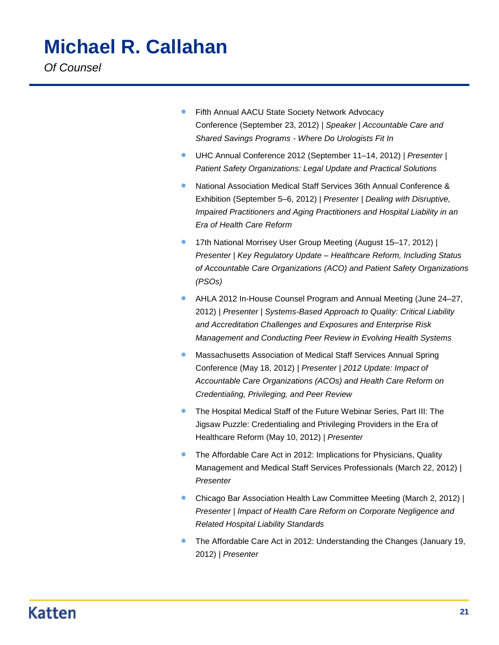- **Fifth Annual AACU State Society Network Advocacy** Conference (September 23, 2012) | *Speaker | Accountable Care and Shared Savings Programs - Where Do Urologists Fit In*
- UHC Annual Conference 2012 (September 11–14, 2012) | *Presenter | Patient Safety Organizations: Legal Update and Practical Solutions*
- National Association Medical Staff Services 36th Annual Conference & Exhibition (September 5–6, 2012) | *Presenter | Dealing with Disruptive, Impaired Practitioners and Aging Practitioners and Hospital Liability in an Era of Health Care Reform*
- 17th National Morrisey User Group Meeting (August 15–17, 2012) | *Presenter | Key Regulatory Update – Healthcare Reform, Including Status of Accountable Care Organizations (ACO) and Patient Safety Organizations (PSOs)*
- AHLA 2012 In-House Counsel Program and Annual Meeting (June 24–27, 2012) | *Presenter | Systems-Based Approach to Quality: Critical Liability and Accreditation Challenges and Exposures and Enterprise Risk Management and Conducting Peer Review in Evolving Health Systems*
- Massachusetts Association of Medical Staff Services Annual Spring Conference (May 18, 2012) | *Presenter | 2012 Update: Impact of Accountable Care Organizations (ACOs) and Health Care Reform on Credentialing, Privileging, and Peer Review*
- **•** The Hospital Medical Staff of the Future Webinar Series, Part III: The Jigsaw Puzzle: Credentialing and Privileging Providers in the Era of Healthcare Reform (May 10, 2012) | *Presenter*
- The Affordable Care Act in 2012: Implications for Physicians, Quality Management and Medical Staff Services Professionals (March 22, 2012) | *Presenter*
- Chicago Bar Association Health Law Committee Meeting (March 2, 2012) | *Presenter | Impact of Health Care Reform on Corporate Negligence and Related Hospital Liability Standards*
- **The Affordable Care Act in 2012: Understanding the Changes (January 19,** 2012) | *Presenter*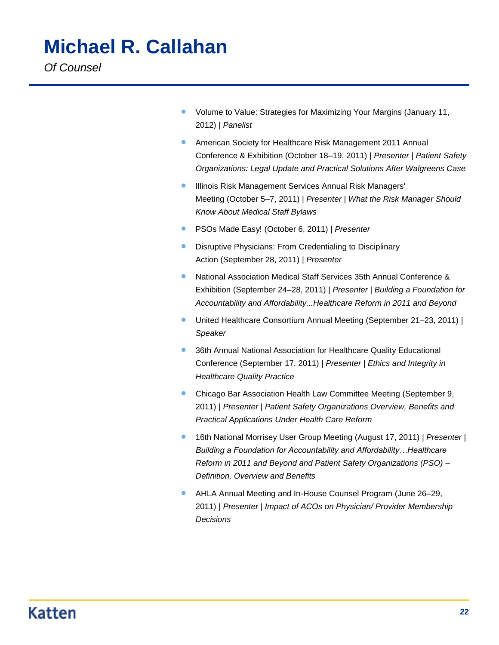- Volume to Value: Strategies for Maximizing Your Margins (January 11, 2012) | *Panelist*
- **American Society for Healthcare Risk Management 2011 Annual** Conference & Exhibition (October 18–19, 2011) | *Presenter | Patient Safety Organizations: Legal Update and Practical Solutions After Walgreens Case*
- **Illinois Risk Management Services Annual Risk Managers'** Meeting (October 5–7, 2011) | *Presenter | What the Risk Manager Should Know About Medical Staff Bylaws*
- PSOs Made Easy! (October 6, 2011) | *Presenter*
- **•** Disruptive Physicians: From Credentialing to Disciplinary Action (September 28, 2011) | *Presenter*
- National Association Medical Staff Services 35th Annual Conference & Exhibition (September 24–28, 2011) | *Presenter | Building a Foundation for Accountability and Affordability...Healthcare Reform in 2011 and Beyond*
- United Healthcare Consortium Annual Meeting (September 21–23, 2011) | *Speaker*
- **36th Annual National Association for Healthcare Quality Educational** Conference (September 17, 2011) | *Presenter | Ethics and Integrity in Healthcare Quality Practice*
- **Chicago Bar Association Health Law Committee Meeting (September 9,** 2011) | *Presenter | Patient Safety Organizations Overview, Benefits and Practical Applications Under Health Care Reform*
- 16th National Morrisey User Group Meeting (August 17, 2011) | *Presenter | Building a Foundation for Accountability and Affordability…Healthcare Reform in 2011 and Beyond and Patient Safety Organizations (PSO) – Definition, Overview and Benefits*
- AHLA Annual Meeting and In-House Counsel Program (June 26–29, 2011) | *Presenter | Impact of ACOs on Physician/ Provider Membership Decisions*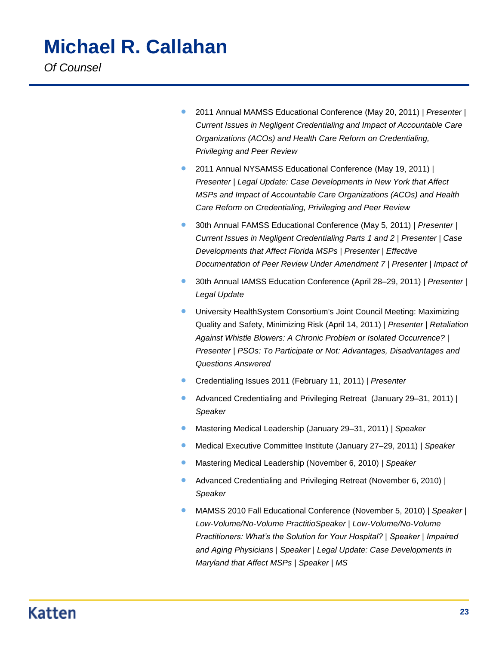- 2011 Annual MAMSS Educational Conference (May 20, 2011) | *Presenter | Current Issues in Negligent Credentialing and Impact of Accountable Care Organizations (ACOs) and Health Care Reform on Credentialing, Privileging and Peer Review*
- 2011 Annual NYSAMSS Educational Conference (May 19, 2011) | *Presenter | Legal Update: Case Developments in New York that Affect MSPs and Impact of Accountable Care Organizations (ACOs) and Health Care Reform on Credentialing, Privileging and Peer Review*
- 30th Annual FAMSS Educational Conference (May 5, 2011) | *Presenter | Current Issues in Negligent Credentialing Parts 1 and 2 | Presenter | Case Developments that Affect Florida MSPs | Presenter | Effective Documentation of Peer Review Under Amendment 7 | Presenter | Impact of*
- 30th Annual IAMSS Education Conference (April 28–29, 2011) | *Presenter | Legal Update*
- University HealthSystem Consortium's Joint Council Meeting: Maximizing Quality and Safety, Minimizing Risk (April 14, 2011) | *Presenter | Retaliation Against Whistle Blowers: A Chronic Problem or Isolated Occurrence? | Presenter | PSOs: To Participate or Not: Advantages, Disadvantages and Questions Answered*
- Credentialing Issues 2011 (February 11, 2011) | *Presenter*
- Advanced Credentialing and Privileging Retreat (January 29–31, 2011) | *Speaker*
- Mastering Medical Leadership (January 29–31, 2011) | *Speaker*
- Medical Executive Committee Institute (January 27–29, 2011) | *Speaker*
- Mastering Medical Leadership (November 6, 2010) | *Speaker*
- Advanced Credentialing and Privileging Retreat (November 6, 2010) | *Speaker*
- MAMSS 2010 Fall Educational Conference (November 5, 2010) | *Speaker | Low-Volume/No-Volume PractitioSpeaker | Low-Volume/No-Volume Practitioners: What's the Solution for Your Hospital? | Speaker | Impaired and Aging Physicians | Speaker | Legal Update: Case Developments in Maryland that Affect MSPs | Speaker | MS*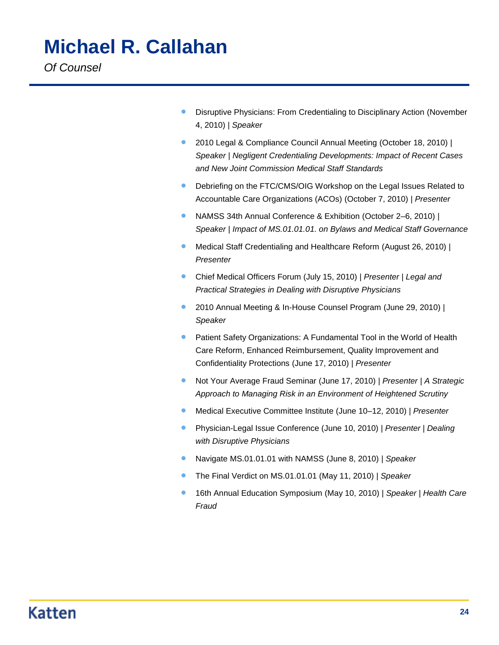- **•** Disruptive Physicians: From Credentialing to Disciplinary Action (November 4, 2010) | *Speaker*
- 2010 Legal & Compliance Council Annual Meeting (October 18, 2010) | *Speaker | Negligent Credentialing Developments: Impact of Recent Cases and New Joint Commission Medical Staff Standards*
- Debriefing on the FTC/CMS/OIG Workshop on the Legal Issues Related to Accountable Care Organizations (ACOs) (October 7, 2010) | *Presenter*
- NAMSS 34th Annual Conference & Exhibition (October 2–6, 2010) | *Speaker | Impact of MS.01.01.01. on Bylaws and Medical Staff Governance*
- Medical Staff Credentialing and Healthcare Reform (August 26, 2010) | *Presenter*
- Chief Medical Officers Forum (July 15, 2010) | *Presenter | Legal and Practical Strategies in Dealing with Disruptive Physicians*
- 2010 Annual Meeting & In-House Counsel Program (June 29, 2010) | *Speaker*
- **•** Patient Safety Organizations: A Fundamental Tool in the World of Health Care Reform, Enhanced Reimbursement, Quality Improvement and Confidentiality Protections (June 17, 2010) | *Presenter*
- Not Your Average Fraud Seminar (June 17, 2010) | *Presenter | A Strategic Approach to Managing Risk in an Environment of Heightened Scrutiny*
- Medical Executive Committee Institute (June 10–12, 2010) | *Presenter*
- Physician-Legal Issue Conference (June 10, 2010) | *Presenter | Dealing with Disruptive Physicians*
- Navigate MS.01.01.01 with NAMSS (June 8, 2010) | *Speaker*
- The Final Verdict on MS.01.01.01 (May 11, 2010) | *Speaker*
- 16th Annual Education Symposium (May 10, 2010) | *Speaker | Health Care Fraud*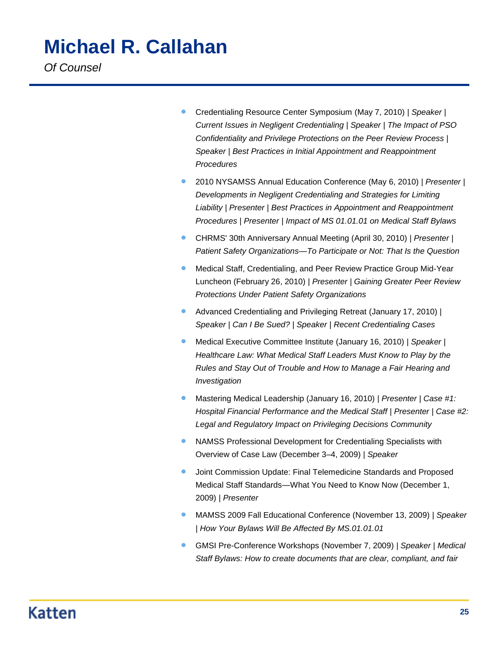# **Michael R. Callahan**

*Of Counsel*

- Credentialing Resource Center Symposium (May 7, 2010) | *Speaker | Current Issues in Negligent Credentialing | Speaker | The Impact of PSO Confidentiality and Privilege Protections on the Peer Review Process | Speaker | Best Practices in Initial Appointment and Reappointment Procedures*
- 2010 NYSAMSS Annual Education Conference (May 6, 2010) | *Presenter | Developments in Negligent Credentialing and Strategies for Limiting Liability | Presenter | Best Practices in Appointment and Reappointment Procedures | Presenter | Impact of MS 01.01.01 on Medical Staff Bylaws*
- CHRMS' 30th Anniversary Annual Meeting (April 30, 2010) | *Presenter | Patient Safety Organizations—To Participate or Not: That Is the Question*
- **Medical Staff, Credentialing, and Peer Review Practice Group Mid-Year** Luncheon (February 26, 2010) | *Presenter | Gaining Greater Peer Review Protections Under Patient Safety Organizations*
- Advanced Credentialing and Privileging Retreat (January 17, 2010) | *Speaker | Can I Be Sued? | Speaker | Recent Credentialing Cases*
- Medical Executive Committee Institute (January 16, 2010) | *Speaker | Healthcare Law: What Medical Staff Leaders Must Know to Play by the Rules and Stay Out of Trouble and How to Manage a Fair Hearing and Investigation*
- Mastering Medical Leadership (January 16, 2010) | *Presenter | Case #1: Hospital Financial Performance and the Medical Staff | Presenter | Case #2: Legal and Regulatory Impact on Privileging Decisions Community*
- NAMSS Professional Development for Credentialing Specialists with Overview of Case Law (December 3–4, 2009) | *Speaker*
- **•** Joint Commission Update: Final Telemedicine Standards and Proposed Medical Staff Standards—What You Need to Know Now (December 1, 2009) | *Presenter*
- MAMSS 2009 Fall Educational Conference (November 13, 2009) | *Speaker | How Your Bylaws Will Be Affected By MS.01.01.01*
- GMSI Pre-Conference Workshops (November 7, 2009) | *Speaker | Medical Staff Bylaws: How to create documents that are clear, compliant, and fair*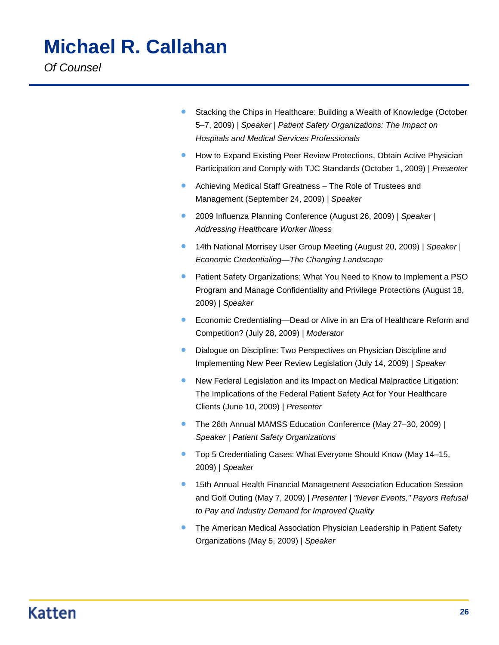# **Michael R. Callahan**

*Of Counsel*

- Stacking the Chips in Healthcare: Building a Wealth of Knowledge (October 5–7, 2009) | *Speaker | Patient Safety Organizations: The Impact on Hospitals and Medical Services Professionals*
- **How to Expand Existing Peer Review Protections, Obtain Active Physician** Participation and Comply with TJC Standards (October 1, 2009) | *Presenter*
- Achieving Medical Staff Greatness The Role of Trustees and Management (September 24, 2009) | *Speaker*
- 2009 Influenza Planning Conference (August 26, 2009) | *Speaker | Addressing Healthcare Worker Illness*
- 14th National Morrisey User Group Meeting (August 20, 2009) | *Speaker | Economic Credentialing—The Changing Landscape*
- **•** Patient Safety Organizations: What You Need to Know to Implement a PSO Program and Manage Confidentiality and Privilege Protections (August 18, 2009) | *Speaker*
- **Economic Credentialing—Dead or Alive in an Era of Healthcare Reform and** Competition? (July 28, 2009) | *Moderator*
- Dialogue on Discipline: Two Perspectives on Physician Discipline and Implementing New Peer Review Legislation (July 14, 2009) | *Speaker*
- New Federal Legislation and its Impact on Medical Malpractice Litigation: The Implications of the Federal Patient Safety Act for Your Healthcare Clients (June 10, 2009) | *Presenter*
- The 26th Annual MAMSS Education Conference (May 27–30, 2009) | *Speaker | Patient Safety Organizations*
- Top 5 Credentialing Cases: What Everyone Should Know (May 14–15, 2009) | *Speaker*
- **15th Annual Health Financial Management Association Education Session** and Golf Outing (May 7, 2009) | *Presenter | "Never Events," Payors Refusal to Pay and Industry Demand for Improved Quality*
- **The American Medical Association Physician Leadership in Patient Safety** Organizations (May 5, 2009) | *Speaker*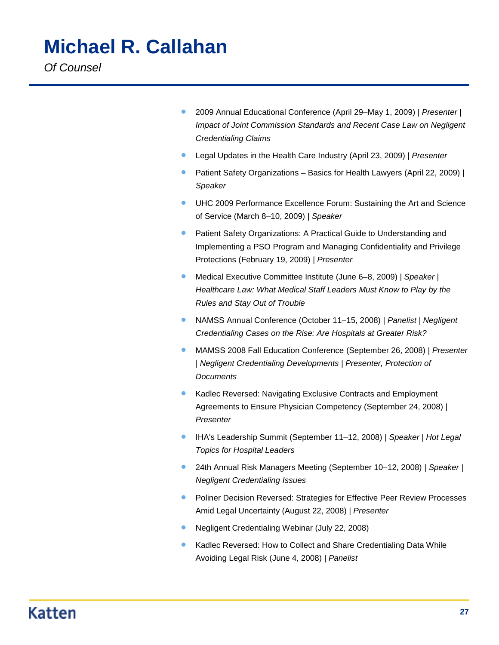- 2009 Annual Educational Conference (April 29–May 1, 2009) | *Presenter | Impact of Joint Commission Standards and Recent Case Law on Negligent Credentialing Claims*
- Legal Updates in the Health Care Industry (April 23, 2009) | *Presenter*
- **•** Patient Safety Organizations Basics for Health Lawyers (April 22, 2009) | *Speaker*
- UHC 2009 Performance Excellence Forum: Sustaining the Art and Science of Service (March 8–10, 2009) | *Speaker*
- **•** Patient Safety Organizations: A Practical Guide to Understanding and Implementing a PSO Program and Managing Confidentiality and Privilege Protections (February 19, 2009) | *Presenter*
- Medical Executive Committee Institute (June 6–8, 2009) | *Speaker | Healthcare Law: What Medical Staff Leaders Must Know to Play by the Rules and Stay Out of Trouble*
- NAMSS Annual Conference (October 11–15, 2008) | *Panelist | Negligent Credentialing Cases on the Rise: Are Hospitals at Greater Risk?*
- MAMSS 2008 Fall Education Conference (September 26, 2008) | *Presenter | Negligent Credentialing Developments | Presenter, Protection of Documents*
- Kadlec Reversed: Navigating Exclusive Contracts and Employment Agreements to Ensure Physician Competency (September 24, 2008) | *Presenter*
- IHA's Leadership Summit (September 11–12, 2008) | *Speaker | Hot Legal Topics for Hospital Leaders*
- 24th Annual Risk Managers Meeting (September 10–12, 2008) | *Speaker | Negligent Credentialing Issues*
- **Poliner Decision Reversed: Strategies for Effective Peer Review Processes** Amid Legal Uncertainty (August 22, 2008) | *Presenter*
- Negligent Credentialing Webinar (July 22, 2008)
- Kadlec Reversed: How to Collect and Share Credentialing Data While Avoiding Legal Risk (June 4, 2008) | *Panelist*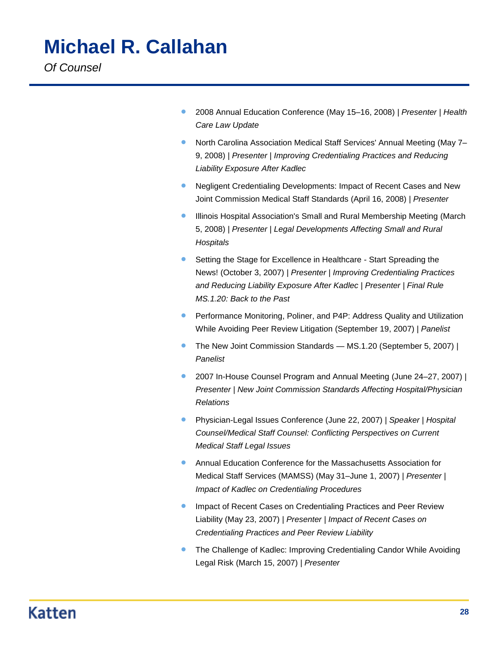- 2008 Annual Education Conference (May 15–16, 2008) | *Presenter | Health Care Law Update*
- North Carolina Association Medical Staff Services' Annual Meeting (May 7-9, 2008) | *Presenter | Improving Credentialing Practices and Reducing Liability Exposure After Kadlec*
- Negligent Credentialing Developments: Impact of Recent Cases and New Joint Commission Medical Staff Standards (April 16, 2008) | *Presenter*
- Illinois Hospital Association's Small and Rural Membership Meeting (March 5, 2008) | *Presenter | Legal Developments Affecting Small and Rural Hospitals*
- Setting the Stage for Excellence in Healthcare Start Spreading the News! (October 3, 2007) | *Presenter | Improving Credentialing Practices and Reducing Liability Exposure After Kadlec | Presenter | Final Rule MS.1.20: Back to the Past*
- **•** Performance Monitoring, Poliner, and P4P: Address Quality and Utilization While Avoiding Peer Review Litigation (September 19, 2007) | *Panelist*
- The New Joint Commission Standards MS.1.20 (September 5, 2007) | *Panelist*
- 2007 In-House Counsel Program and Annual Meeting (June 24–27, 2007) | *Presenter | New Joint Commission Standards Affecting Hospital/Physician Relations*
- Physician-Legal Issues Conference (June 22, 2007) | *Speaker | Hospital Counsel/Medical Staff Counsel: Conflicting Perspectives on Current Medical Staff Legal Issues*
- Annual Education Conference for the Massachusetts Association for Medical Staff Services (MAMSS) (May 31–June 1, 2007) | *Presenter | Impact of Kadlec on Credentialing Procedures*
- Impact of Recent Cases on Credentialing Practices and Peer Review Liability (May 23, 2007) | *Presenter | Impact of Recent Cases on Credentialing Practices and Peer Review Liability*
- The Challenge of Kadlec: Improving Credentialing Candor While Avoiding Legal Risk (March 15, 2007) | *Presenter*